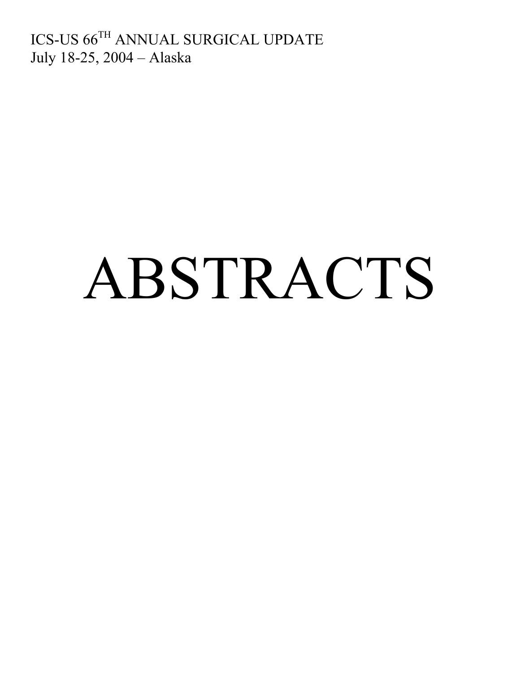ICS-US 66TH ANNUAL SURGICAL UPDATE July 18-25, 2004 – Alaska

# ABSTRACTS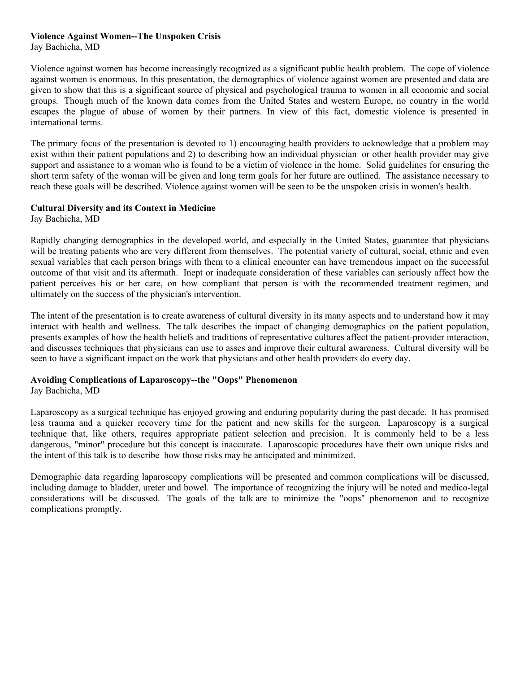## **Violence Against Women--The Unspoken Crisis**

Jay Bachicha, MD

Violence against women has become increasingly recognized as a significant public health problem. The cope of violence against women is enormous. In this presentation, the demographics of violence against women are presented and data are given to show that this is a significant source of physical and psychological trauma to women in all economic and social groups. Though much of the known data comes from the United States and western Europe, no country in the world escapes the plague of abuse of women by their partners. In view of this fact, domestic violence is presented in international terms.

The primary focus of the presentation is devoted to 1) encouraging health providers to acknowledge that a problem may exist within their patient populations and 2) to describing how an individual physician or other health provider may give support and assistance to a woman who is found to be a victim of violence in the home. Solid guidelines for ensuring the short term safety of the woman will be given and long term goals for her future are outlined. The assistance necessary to reach these goals will be described. Violence against women will be seen to be the unspoken crisis in women's health.

## **Cultural Diversity and its Context in Medicine**

Jay Bachicha, MD

Rapidly changing demographics in the developed world, and especially in the United States, guarantee that physicians will be treating patients who are very different from themselves. The potential variety of cultural, social, ethnic and even sexual variables that each person brings with them to a clinical encounter can have tremendous impact on the successful outcome of that visit and its aftermath. Inept or inadequate consideration of these variables can seriously affect how the patient perceives his or her care, on how compliant that person is with the recommended treatment regimen, and ultimately on the success of the physician's intervention.

The intent of the presentation is to create awareness of cultural diversity in its many aspects and to understand how it may interact with health and wellness. The talk describes the impact of changing demographics on the patient population, presents examples of how the health beliefs and traditions of representative cultures affect the patient-provider interaction, and discusses techniques that physicians can use to asses and improve their cultural awareness. Cultural diversity will be seen to have a significant impact on the work that physicians and other health providers do every day.

#### **Avoiding Complications of Laparoscopy--the "Oops" Phenomenon** Jay Bachicha, MD

Laparoscopy as a surgical technique has enjoyed growing and enduring popularity during the past decade. It has promised less trauma and a quicker recovery time for the patient and new skills for the surgeon. Laparoscopy is a surgical technique that, like others, requires appropriate patient selection and precision. It is commonly held to be a less dangerous, "minor" procedure but this concept is inaccurate. Laparoscopic procedures have their own unique risks and the intent of this talk is to describe how those risks may be anticipated and minimized.

Demographic data regarding laparoscopy complications will be presented and common complications will be discussed, including damage to bladder, ureter and bowel. The importance of recognizing the injury will be noted and medico-legal considerations will be discussed. The goals of the talk are to minimize the "oops" phenomenon and to recognize complications promptly.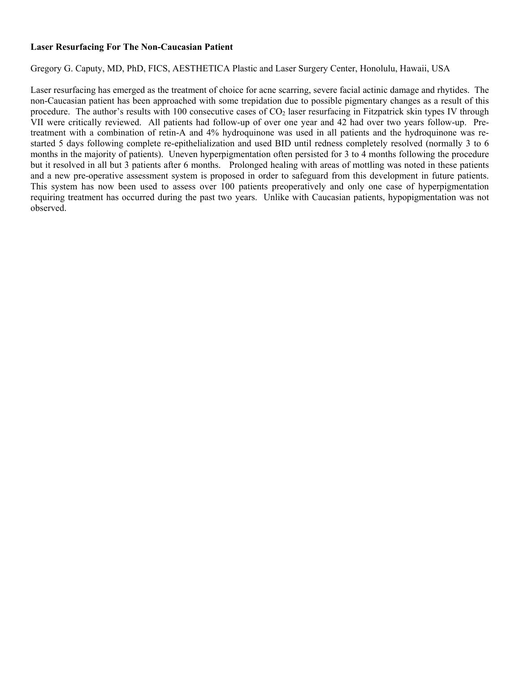## **Laser Resurfacing For The Non-Caucasian Patient**

Gregory G. Caputy, MD, PhD, FICS, AESTHETICA Plastic and Laser Surgery Center, Honolulu, Hawaii, USA

Laser resurfacing has emerged as the treatment of choice for acne scarring, severe facial actinic damage and rhytides. The non-Caucasian patient has been approached with some trepidation due to possible pigmentary changes as a result of this procedure. The author's results with 100 consecutive cases of  $CO<sub>2</sub>$  laser resurfacing in Fitzpatrick skin types IV through VII were critically reviewed. All patients had follow-up of over one year and 42 had over two years follow-up. Pretreatment with a combination of retin-A and 4% hydroquinone was used in all patients and the hydroquinone was restarted 5 days following complete re-epithelialization and used BID until redness completely resolved (normally 3 to 6 months in the majority of patients). Uneven hyperpigmentation often persisted for 3 to 4 months following the procedure but it resolved in all but 3 patients after 6 months. Prolonged healing with areas of mottling was noted in these patients and a new pre-operative assessment system is proposed in order to safeguard from this development in future patients. This system has now been used to assess over 100 patients preoperatively and only one case of hyperpigmentation requiring treatment has occurred during the past two years. Unlike with Caucasian patients, hypopigmentation was not observed.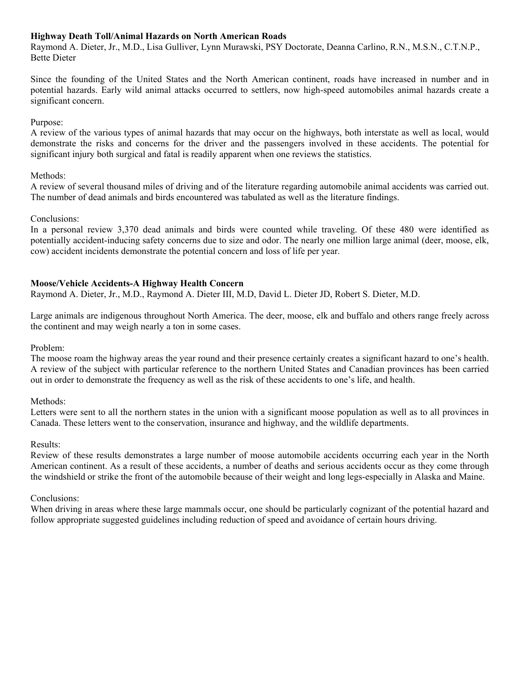## **Highway Death Toll/Animal Hazards on North American Roads**

Raymond A. Dieter, Jr., M.D., Lisa Gulliver, Lynn Murawski, PSY Doctorate, Deanna Carlino, R.N., M.S.N., C.T.N.P., Bette Dieter

Since the founding of the United States and the North American continent, roads have increased in number and in potential hazards. Early wild animal attacks occurred to settlers, now high-speed automobiles animal hazards create a significant concern.

## Purpose:

A review of the various types of animal hazards that may occur on the highways, both interstate as well as local, would demonstrate the risks and concerns for the driver and the passengers involved in these accidents. The potential for significant injury both surgical and fatal is readily apparent when one reviews the statistics.

## Methods:

A review of several thousand miles of driving and of the literature regarding automobile animal accidents was carried out. The number of dead animals and birds encountered was tabulated as well as the literature findings.

# Conclusions:

In a personal review 3,370 dead animals and birds were counted while traveling. Of these 480 were identified as potentially accident-inducing safety concerns due to size and odor. The nearly one million large animal (deer, moose, elk, cow) accident incidents demonstrate the potential concern and loss of life per year.

# **Moose/Vehicle Accidents-A Highway Health Concern**

Raymond A. Dieter, Jr., M.D., Raymond A. Dieter III, M.D, David L. Dieter JD, Robert S. Dieter, M.D.

Large animals are indigenous throughout North America. The deer, moose, elk and buffalo and others range freely across the continent and may weigh nearly a ton in some cases.

Problem:

The moose roam the highway areas the year round and their presence certainly creates a significant hazard to one's health. A review of the subject with particular reference to the northern United States and Canadian provinces has been carried out in order to demonstrate the frequency as well as the risk of these accidents to one's life, and health.

#### Methods:

Letters were sent to all the northern states in the union with a significant moose population as well as to all provinces in Canada. These letters went to the conservation, insurance and highway, and the wildlife departments.

#### Results:

Review of these results demonstrates a large number of moose automobile accidents occurring each year in the North American continent. As a result of these accidents, a number of deaths and serious accidents occur as they come through the windshield or strike the front of the automobile because of their weight and long legs-especially in Alaska and Maine.

#### Conclusions:

When driving in areas where these large mammals occur, one should be particularly cognizant of the potential hazard and follow appropriate suggested guidelines including reduction of speed and avoidance of certain hours driving.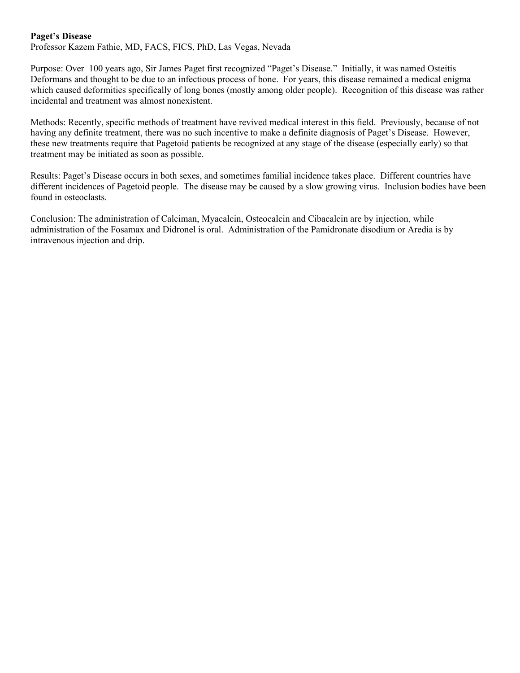## **Paget's Disease**

Professor Kazem Fathie, MD, FACS, FICS, PhD, Las Vegas, Nevada

Purpose: Over 100 years ago, Sir James Paget first recognized "Paget's Disease." Initially, it was named Osteitis Deformans and thought to be due to an infectious process of bone. For years, this disease remained a medical enigma which caused deformities specifically of long bones (mostly among older people). Recognition of this disease was rather incidental and treatment was almost nonexistent.

Methods: Recently, specific methods of treatment have revived medical interest in this field. Previously, because of not having any definite treatment, there was no such incentive to make a definite diagnosis of Paget's Disease. However, these new treatments require that Pagetoid patients be recognized at any stage of the disease (especially early) so that treatment may be initiated as soon as possible.

Results: Paget's Disease occurs in both sexes, and sometimes familial incidence takes place. Different countries have different incidences of Pagetoid people. The disease may be caused by a slow growing virus. Inclusion bodies have been found in osteoclasts.

Conclusion: The administration of Calciman, Myacalcin, Osteocalcin and Cibacalcin are by injection, while administration of the Fosamax and Didronel is oral. Administration of the Pamidronate disodium or Aredia is by intravenous injection and drip.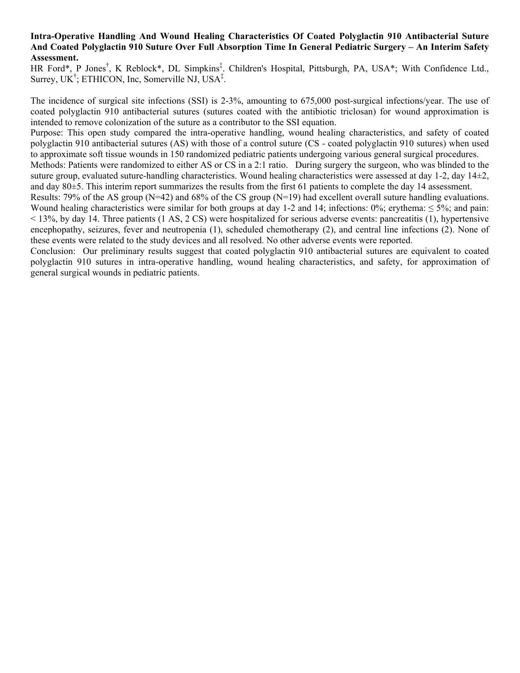#### **Intra-Operative Handling And Wound Healing Characteristics Of Coated Polyglactin 910 Antibacterial Suture And Coated Polyglactin 910 Suture Over Full Absorption Time In General Pediatric Surgery – An Interim Safety Assessment.**

HR Ford\*, P Jones<sup>†</sup>, K Reblock\*, DL Simpkins<sup>‡</sup>. Children's Hospital, Pittsburgh, PA, USA\*; With Confidence Ltd., Surrey, UK<sup>†</sup>; ETHICON, Inc, Somerville NJ, USA<sup>‡</sup>.

The incidence of surgical site infections (SSI) is 2-3%, amounting to 675,000 post-surgical infections/year. The use of coated polyglactin 910 antibacterial sutures (sutures coated with the antibiotic triclosan) for wound approximation is intended to remove colonization of the suture as a contributor to the SSI equation.

Purpose: This open study compared the intra-operative handling, wound healing characteristics, and safety of coated polyglactin 910 antibacterial sutures (AS) with those of a control suture (CS - coated polyglactin 910 sutures) when used to approximate soft tissue wounds in 150 randomized pediatric patients undergoing various general surgical procedures.

Methods: Patients were randomized to either AS or CS in a 2:1 ratio. During surgery the surgeon, who was blinded to the suture group, evaluated suture-handling characteristics. Wound healing characteristics were assessed at day  $1-2$ , day  $14\pm2$ , and day 80±5. This interim report summarizes the results from the first 61 patients to complete the day 14 assessment.

Results: 79% of the AS group (N=42) and 68% of the CS group (N=19) had excellent overall suture handling evaluations. Wound healing characteristics were similar for both groups at day 1-2 and 14; infections:  $0\%$ ; erythema:  $\leq 5\%$ ; and pain: < 13%, by day 14. Three patients (1 AS, 2 CS) were hospitalized for serious adverse events: pancreatitis (1), hypertensive encephopathy, seizures, fever and neutropenia (1), scheduled chemotherapy (2), and central line infections (2). None of these events were related to the study devices and all resolved. No other adverse events were reported.

Conclusion: Our preliminary results suggest that coated polyglactin 910 antibacterial sutures are equivalent to coated polyglactin 910 sutures in intra-operative handling, wound healing characteristics, and safety, for approximation of general surgical wounds in pediatric patients.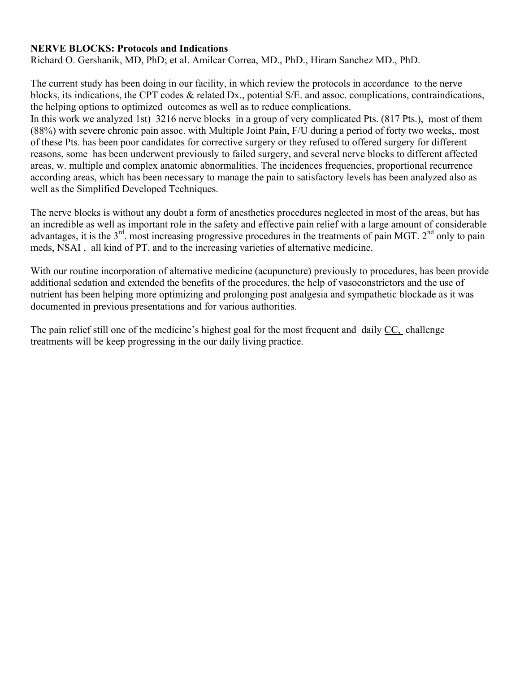# **NERVE BLOCKS: Protocols and Indications**

Richard O. Gershanik, MD, PhD; et al. Amilcar Correa, MD., PhD., Hiram Sanchez MD., PhD.

The current study has been doing in our facility, in which review the protocols in accordance to the nerve blocks, its indications, the CPT codes & related Dx., potential S/E. and assoc. complications, contraindications, the helping options to optimized outcomes as well as to reduce complications.

In this work we analyzed 1st) 3216 nerve blocks in a group of very complicated Pts. (817 Pts.), most of them (88%) with severe chronic pain assoc. with Multiple Joint Pain, F/U during a period of forty two weeks,. most of these Pts. has been poor candidates for corrective surgery or they refused to offered surgery for different reasons, some has been underwent previously to failed surgery, and several nerve blocks to different affected areas, w. multiple and complex anatomic abnormalities. The incidences frequencies, proportional recurrence according areas, which has been necessary to manage the pain to satisfactory levels has been analyzed also as well as the Simplified Developed Techniques.

The nerve blocks is without any doubt a form of anesthetics procedures neglected in most of the areas, but has an incredible as well as important role in the safety and effective pain relief with a large amount of considerable advantages, it is the  $3<sup>rd</sup>$ , most increasing progressive procedures in the treatments of pain MGT.  $2<sup>nd</sup>$  only to pain meds, NSAI , all kind of PT. and to the increasing varieties of alternative medicine.

With our routine incorporation of alternative medicine (acupuncture) previously to procedures, has been provide additional sedation and extended the benefits of the procedures, the help of vasoconstrictors and the use of nutrient has been helping more optimizing and prolonging post analgesia and sympathetic blockade as it was documented in previous presentations and for various authorities.

The pain relief still one of the medicine's highest goal for the most frequent and daily CC, challenge treatments will be keep progressing in the our daily living practice.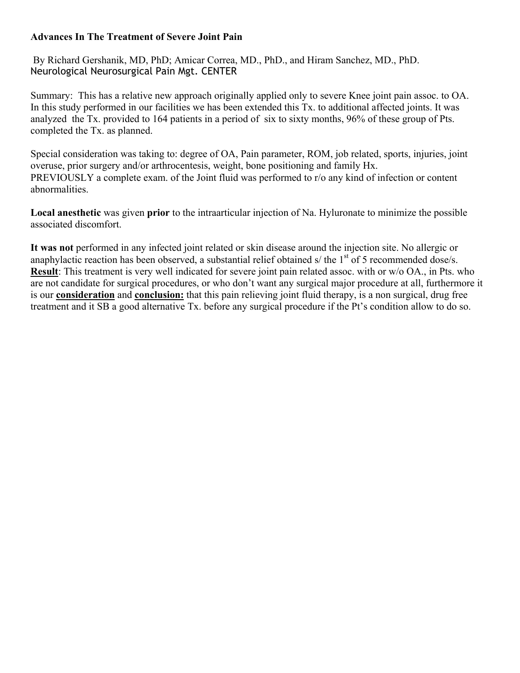# **Advances In The Treatment of Severe Joint Pain**

 By Richard Gershanik, MD, PhD; Amicar Correa, MD., PhD., and Hiram Sanchez, MD., PhD. Neurological Neurosurgical Pain Mgt. CENTER

Summary: This has a relative new approach originally applied only to severe Knee joint pain assoc. to OA. In this study performed in our facilities we has been extended this Tx. to additional affected joints. It was analyzed the Tx. provided to 164 patients in a period of six to sixty months, 96% of these group of Pts. completed the Tx. as planned.

Special consideration was taking to: degree of OA, Pain parameter, ROM, job related, sports, injuries, joint overuse, prior surgery and/or arthrocentesis, weight, bone positioning and family Hx. PREVIOUSLY a complete exam. of the Joint fluid was performed to r/o any kind of infection or content abnormalities.

**Local anesthetic** was given **prior** to the intraarticular injection of Na. Hyluronate to minimize the possible associated discomfort.

**It was not** performed in any infected joint related or skin disease around the injection site. No allergic or anaphylactic reaction has been observed, a substantial relief obtained s/ the  $1<sup>st</sup>$  of 5 recommended dose/s. **Result**: This treatment is very well indicated for severe joint pain related assoc. with or w/o OA., in Pts. who are not candidate for surgical procedures, or who don't want any surgical major procedure at all, furthermore it is our **consideration** and **conclusion:** that this pain relieving joint fluid therapy, is a non surgical, drug free treatment and it SB a good alternative Tx. before any surgical procedure if the Pt's condition allow to do so.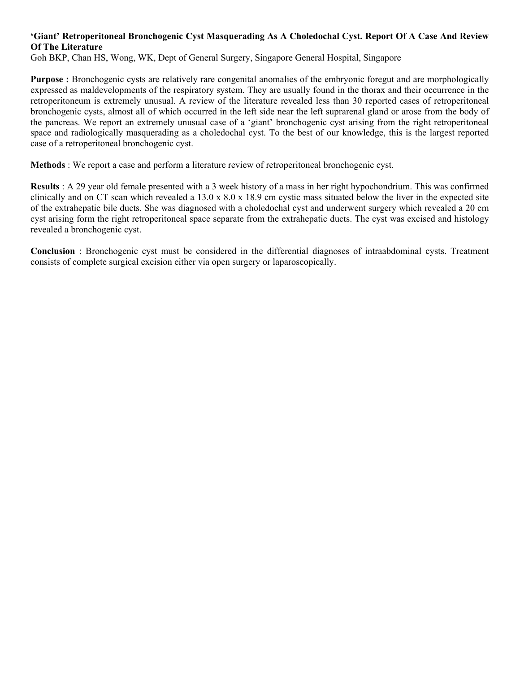## **'Giant' Retroperitoneal Bronchogenic Cyst Masquerading As A Choledochal Cyst. Report Of A Case And Review Of The Literature**

Goh BKP, Chan HS, Wong, WK, Dept of General Surgery, Singapore General Hospital, Singapore

**Purpose :** Bronchogenic cysts are relatively rare congenital anomalies of the embryonic foregut and are morphologically expressed as maldevelopments of the respiratory system. They are usually found in the thorax and their occurrence in the retroperitoneum is extremely unusual. A review of the literature revealed less than 30 reported cases of retroperitoneal bronchogenic cysts, almost all of which occurred in the left side near the left suprarenal gland or arose from the body of the pancreas. We report an extremely unusual case of a 'giant' bronchogenic cyst arising from the right retroperitoneal space and radiologically masquerading as a choledochal cyst. To the best of our knowledge, this is the largest reported case of a retroperitoneal bronchogenic cyst.

**Methods** : We report a case and perform a literature review of retroperitoneal bronchogenic cyst.

**Results** : A 29 year old female presented with a 3 week history of a mass in her right hypochondrium. This was confirmed clinically and on CT scan which revealed a 13.0 x  $8.0 \times 18.9$  cm cystic mass situated below the liver in the expected site of the extrahepatic bile ducts. She was diagnosed with a choledochal cyst and underwent surgery which revealed a 20 cm cyst arising form the right retroperitoneal space separate from the extrahepatic ducts. The cyst was excised and histology revealed a bronchogenic cyst.

**Conclusion** : Bronchogenic cyst must be considered in the differential diagnoses of intraabdominal cysts. Treatment consists of complete surgical excision either via open surgery or laparoscopically.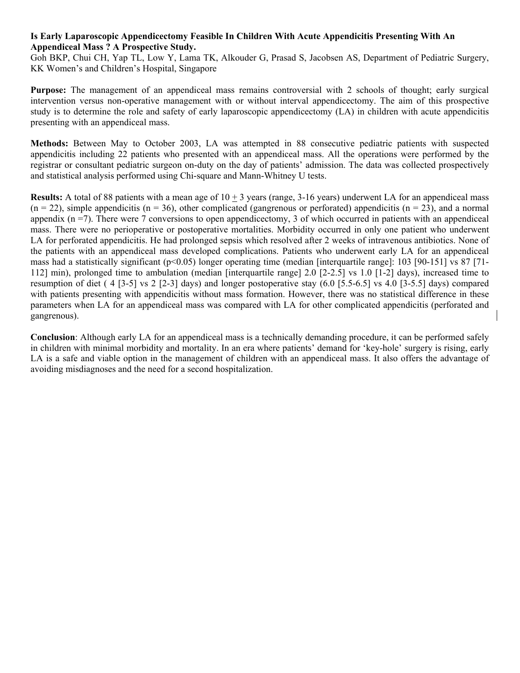#### **Is Early Laparoscopic Appendicectomy Feasible In Children With Acute Appendicitis Presenting With An Appendiceal Mass ? A Prospective Study.**

Goh BKP, Chui CH, Yap TL, Low Y, Lama TK, Alkouder G, Prasad S, Jacobsen AS, Department of Pediatric Surgery, KK Women's and Children's Hospital, Singapore

**Purpose:** The management of an appendiceal mass remains controversial with 2 schools of thought; early surgical intervention versus non-operative management with or without interval appendicectomy. The aim of this prospective study is to determine the role and safety of early laparoscopic appendicectomy (LA) in children with acute appendicitis presenting with an appendiceal mass.

**Methods:** Between May to October 2003, LA was attempted in 88 consecutive pediatric patients with suspected appendicitis including 22 patients who presented with an appendiceal mass. All the operations were performed by the registrar or consultant pediatric surgeon on-duty on the day of patients' admission. The data was collected prospectively and statistical analysis performed using Chi-square and Mann-Whitney U tests.

**Results:** A total of 88 patients with a mean age of 10 + 3 years (range, 3-16 years) underwent LA for an appendiceal mass  $(n = 22)$ , simple appendicitis  $(n = 36)$ , other complicated (gangrenous or perforated) appendicitis  $(n = 23)$ , and a normal appendix  $(n = 7)$ . There were 7 conversions to open appendicectomy, 3 of which occurred in patients with an appendiceal mass. There were no perioperative or postoperative mortalities. Morbidity occurred in only one patient who underwent LA for perforated appendicitis. He had prolonged sepsis which resolved after 2 weeks of intravenous antibiotics. None of the patients with an appendiceal mass developed complications. Patients who underwent early LA for an appendiceal mass had a statistically significant (p<0.05) longer operating time (median [interquartile range]: 103 [90-151] vs 87 [71-112] min), prolonged time to ambulation (median [interquartile range] 2.0 [2-2.5] vs 1.0 [1-2] days), increased time to resumption of diet ( 4 [3-5] vs 2 [2-3] days) and longer postoperative stay  $(6.0 \, [5.5-6.5]$  vs 4.0 [3-5.5] days) compared with patients presenting with appendicitis without mass formation. However, there was no statistical difference in these parameters when LA for an appendiceal mass was compared with LA for other complicated appendicitis (perforated and gangrenous).

**Conclusion**: Although early LA for an appendiceal mass is a technically demanding procedure, it can be performed safely in children with minimal morbidity and mortality. In an era where patients' demand for 'key-hole' surgery is rising, early LA is a safe and viable option in the management of children with an appendiceal mass. It also offers the advantage of avoiding misdiagnoses and the need for a second hospitalization.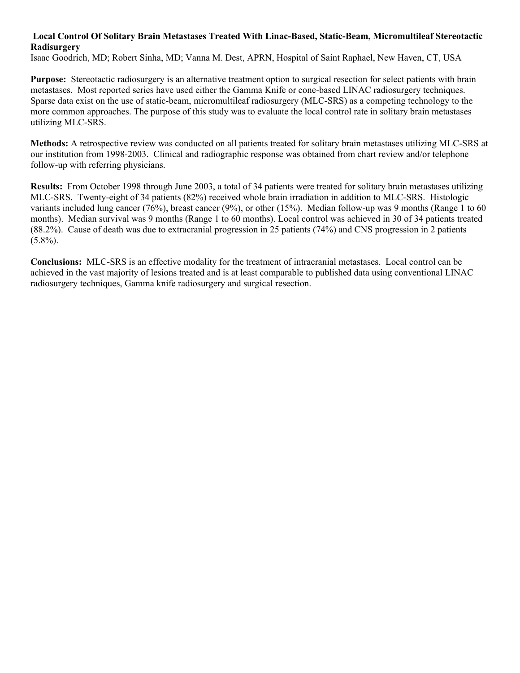## **Local Control Of Solitary Brain Metastases Treated With Linac-Based, Static-Beam, Micromultileaf Stereotactic Radisurgery**

Isaac Goodrich, MD; Robert Sinha, MD; Vanna M. Dest, APRN, Hospital of Saint Raphael, New Haven, CT, USA

**Purpose:** Stereotactic radiosurgery is an alternative treatment option to surgical resection for select patients with brain metastases. Most reported series have used either the Gamma Knife or cone-based LINAC radiosurgery techniques. Sparse data exist on the use of static-beam, micromultileaf radiosurgery (MLC-SRS) as a competing technology to the more common approaches. The purpose of this study was to evaluate the local control rate in solitary brain metastases utilizing MLC-SRS.

**Methods:** A retrospective review was conducted on all patients treated for solitary brain metastases utilizing MLC-SRS at our institution from 1998-2003. Clinical and radiographic response was obtained from chart review and/or telephone follow-up with referring physicians.

**Results:** From October 1998 through June 2003, a total of 34 patients were treated for solitary brain metastases utilizing MLC-SRS. Twenty-eight of 34 patients (82%) received whole brain irradiation in addition to MLC-SRS. Histologic variants included lung cancer (76%), breast cancer (9%), or other (15%). Median follow-up was 9 months (Range 1 to 60 months). Median survival was 9 months (Range 1 to 60 months). Local control was achieved in 30 of 34 patients treated (88.2%). Cause of death was due to extracranial progression in 25 patients (74%) and CNS progression in 2 patients  $(5.8\%)$ .

**Conclusions:** MLC-SRS is an effective modality for the treatment of intracranial metastases. Local control can be achieved in the vast majority of lesions treated and is at least comparable to published data using conventional LINAC radiosurgery techniques, Gamma knife radiosurgery and surgical resection.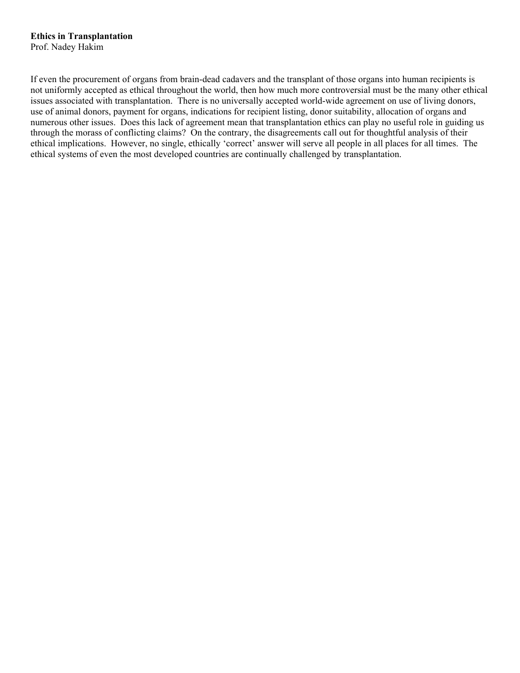#### **Ethics in Transplantation**  Prof. Nadey Hakim

If even the procurement of organs from brain-dead cadavers and the transplant of those organs into human recipients is not uniformly accepted as ethical throughout the world, then how much more controversial must be the many other ethical issues associated with transplantation. There is no universally accepted world-wide agreement on use of living donors, use of animal donors, payment for organs, indications for recipient listing, donor suitability, allocation of organs and numerous other issues. Does this lack of agreement mean that transplantation ethics can play no useful role in guiding us through the morass of conflicting claims? On the contrary, the disagreements call out for thoughtful analysis of their ethical implications. However, no single, ethically 'correct' answer will serve all people in all places for all times. The ethical systems of even the most developed countries are continually challenged by transplantation.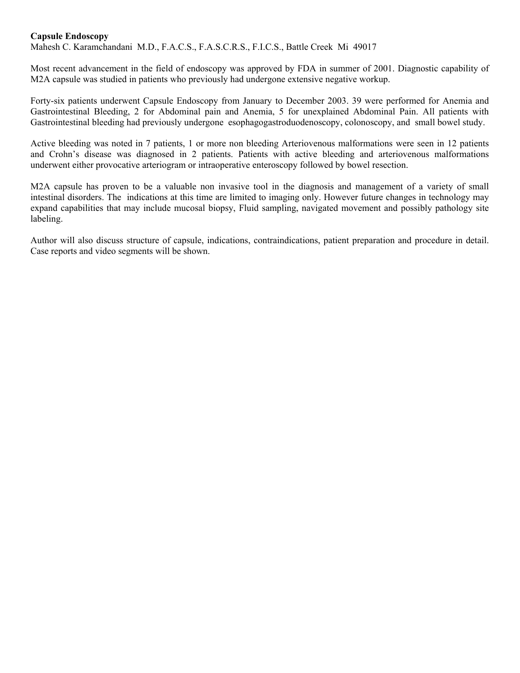#### **Capsule Endoscopy**

Mahesh C. Karamchandani M.D., F.A.C.S., F.A.S.C.R.S., F.I.C.S., Battle Creek Mi 49017

Most recent advancement in the field of endoscopy was approved by FDA in summer of 2001. Diagnostic capability of M2A capsule was studied in patients who previously had undergone extensive negative workup.

Forty-six patients underwent Capsule Endoscopy from January to December 2003. 39 were performed for Anemia and Gastrointestinal Bleeding, 2 for Abdominal pain and Anemia, 5 for unexplained Abdominal Pain. All patients with Gastrointestinal bleeding had previously undergone esophagogastroduodenoscopy, colonoscopy, and small bowel study.

Active bleeding was noted in 7 patients, 1 or more non bleeding Arteriovenous malformations were seen in 12 patients and Crohn's disease was diagnosed in 2 patients. Patients with active bleeding and arteriovenous malformations underwent either provocative arteriogram or intraoperative enteroscopy followed by bowel resection.

M2A capsule has proven to be a valuable non invasive tool in the diagnosis and management of a variety of small intestinal disorders. The indications at this time are limited to imaging only. However future changes in technology may expand capabilities that may include mucosal biopsy, Fluid sampling, navigated movement and possibly pathology site labeling.

Author will also discuss structure of capsule, indications, contraindications, patient preparation and procedure in detail. Case reports and video segments will be shown.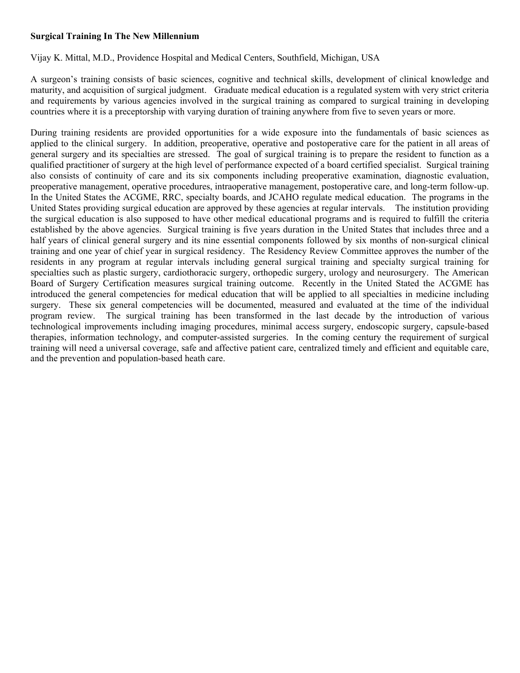## **Surgical Training In The New Millennium**

Vijay K. Mittal, M.D., Providence Hospital and Medical Centers, Southfield, Michigan, USA

A surgeon's training consists of basic sciences, cognitive and technical skills, development of clinical knowledge and maturity, and acquisition of surgical judgment. Graduate medical education is a regulated system with very strict criteria and requirements by various agencies involved in the surgical training as compared to surgical training in developing countries where it is a preceptorship with varying duration of training anywhere from five to seven years or more.

During training residents are provided opportunities for a wide exposure into the fundamentals of basic sciences as applied to the clinical surgery. In addition, preoperative, operative and postoperative care for the patient in all areas of general surgery and its specialties are stressed. The goal of surgical training is to prepare the resident to function as a qualified practitioner of surgery at the high level of performance expected of a board certified specialist. Surgical training also consists of continuity of care and its six components including preoperative examination, diagnostic evaluation, preoperative management, operative procedures, intraoperative management, postoperative care, and long-term follow-up. In the United States the ACGME, RRC, specialty boards, and JCAHO regulate medical education. The programs in the United States providing surgical education are approved by these agencies at regular intervals. The institution providing the surgical education is also supposed to have other medical educational programs and is required to fulfill the criteria established by the above agencies. Surgical training is five years duration in the United States that includes three and a half years of clinical general surgery and its nine essential components followed by six months of non-surgical clinical training and one year of chief year in surgical residency. The Residency Review Committee approves the number of the residents in any program at regular intervals including general surgical training and specialty surgical training for specialties such as plastic surgery, cardiothoracic surgery, orthopedic surgery, urology and neurosurgery. The American Board of Surgery Certification measures surgical training outcome. Recently in the United Stated the ACGME has introduced the general competencies for medical education that will be applied to all specialties in medicine including surgery. These six general competencies will be documented, measured and evaluated at the time of the individual program review. The surgical training has been transformed in the last decade by the introduction of various technological improvements including imaging procedures, minimal access surgery, endoscopic surgery, capsule-based therapies, information technology, and computer-assisted surgeries. In the coming century the requirement of surgical training will need a universal coverage, safe and affective patient care, centralized timely and efficient and equitable care, and the prevention and population-based heath care.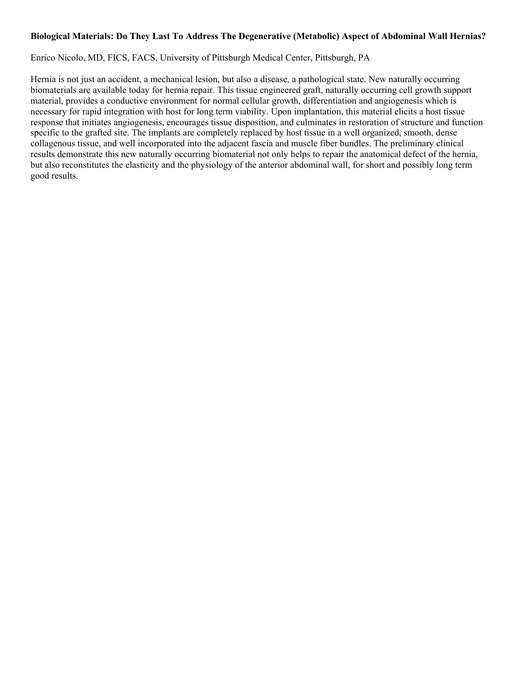#### **Biological Materials: Do They Last To Address The Degenerative (Metabolic) Aspect of Abdominal Wall Hernias?**

#### Enrico Nicolo, MD, FICS, FACS, University of Pittsburgh Medical Center, Pittsburgh, PA

Hernia is not just an accident, a mechanical lesion, but also a disease, a pathological state. New naturally occurring biomaterials are available today for hernia repair. This tissue engineered graft, naturally occurring cell growth support material, provides a conductive environment for normal cellular growth, differentiation and angiogenesis which is necessary for rapid integration with host for long term viability. Upon implantation, this material elicits a host tissue response that initiates angiogenesis, encourages tissue disposition, and culminates in restoration of structure and function specific to the grafted site. The implants are completely replaced by host tissue in a well organized, smooth, dense collagenous tissue, and well incorporated into the adjacent fascia and muscle fiber bundles. The preliminary clinical results demonstrate this new naturally occurring biomaterial not only helps to repair the anatomical defect of the hernia, but also reconstitutes the elasticity and the physiology of the anterior abdominal wall, for short and possibly long term good results.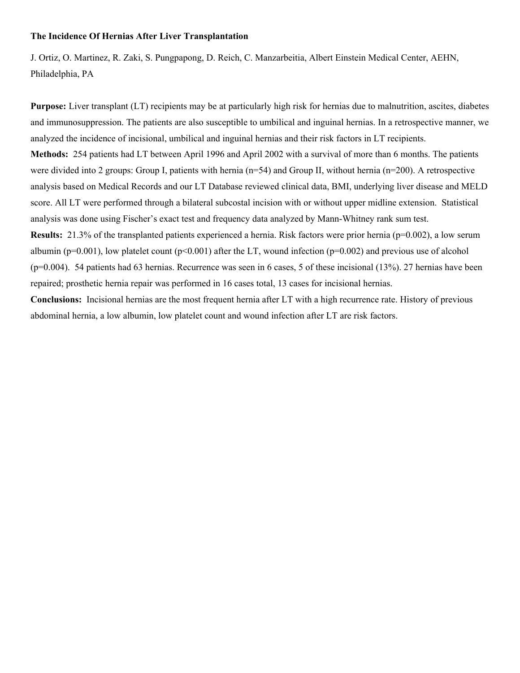#### **The Incidence Of Hernias After Liver Transplantation**

J. Ortiz, O. Martinez, R. Zaki, S. Pungpapong, D. Reich, C. Manzarbeitia, Albert Einstein Medical Center, AEHN, Philadelphia, PA

**Purpose:** Liver transplant (LT) recipients may be at particularly high risk for hernias due to malnutrition, ascites, diabetes and immunosuppression. The patients are also susceptible to umbilical and inguinal hernias. In a retrospective manner, we analyzed the incidence of incisional, umbilical and inguinal hernias and their risk factors in LT recipients. **Methods:** 254 patients had LT between April 1996 and April 2002 with a survival of more than 6 months. The patients were divided into 2 groups: Group I, patients with hernia (n=54) and Group II, without hernia (n=200). A retrospective analysis based on Medical Records and our LT Database reviewed clinical data, BMI, underlying liver disease and MELD score. All LT were performed through a bilateral subcostal incision with or without upper midline extension. Statistical analysis was done using Fischer's exact test and frequency data analyzed by Mann-Whitney rank sum test. **Results:** 21.3% of the transplanted patients experienced a hernia. Risk factors were prior hernia (p=0.002), a low serum albumin ( $p=0.001$ ), low platelet count ( $p<0.001$ ) after the LT, wound infection ( $p=0.002$ ) and previous use of alcohol

 $(p=0.004)$ . 54 patients had 63 hernias. Recurrence was seen in 6 cases, 5 of these incisional  $(13\%)$ . 27 hernias have been repaired; prosthetic hernia repair was performed in 16 cases total, 13 cases for incisional hernias.

**Conclusions:** Incisional hernias are the most frequent hernia after LT with a high recurrence rate. History of previous abdominal hernia, a low albumin, low platelet count and wound infection after LT are risk factors.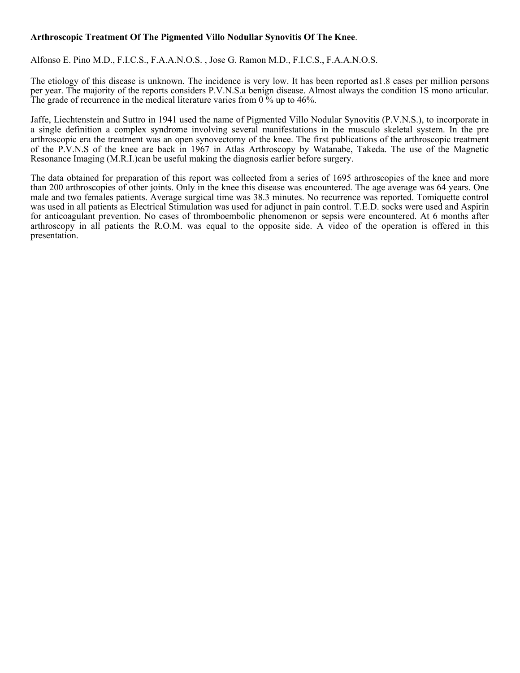## **Arthroscopic Treatment Of The Pigmented Villo Nodullar Synovitis Of The Knee**.

Alfonso E. Pino M.D., F.I.C.S., F.A.A.N.O.S. , Jose G. Ramon M.D., F.I.C.S., F.A.A.N.O.S.

The etiology of this disease is unknown. The incidence is very low. It has been reported as1.8 cases per million persons per year. The majority of the reports considers P.V.N.S.a benign disease. Almost always the condition 1S mono articular. The grade of recurrence in the medical literature varies from  $0\%$  up to 46%.

Jaffe, Liechtenstein and Suttro in 1941 used the name of Pigmented Villo Nodular Synovitis (P.V.N.S.), to incorporate in a single definition a complex syndrome involving several manifestations in the musculo skeletal system. In the pre arthroscopic era the treatment was an open synovectomy of the knee. The first publications of the arthroscopic treatment of the P.V.N.S of the knee are back in 1967 in Atlas Arthroscopy by Watanabe, Takeda. The use of the Magnetic Resonance Imaging (M.R.I.)can be useful making the diagnosis earlier before surgery.

The data obtained for preparation of this report was collected from a series of 1695 arthroscopies of the knee and more than 200 arthroscopies of other joints. Only in the knee this disease was encountered. The age average was 64 years. One male and two females patients. Average surgical time was 38.3 minutes. No recurrence was reported. Tomiquette control was used in all patients as Electrical Stimulation was used for adjunct in pain control. T.E.D. socks were used and Aspirin for anticoagulant prevention. No cases of thromboembolic phenomenon or sepsis were encountered. At 6 months after arthroscopy in all patients the R.O.M. was equal to the opposite side. A video of the operation is offered in this presentation.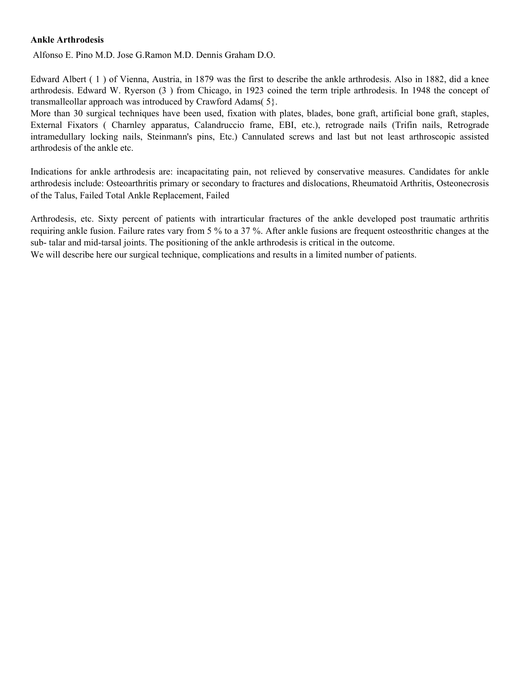#### **Ankle Arthrodesis**

Alfonso E. Pino M.D. Jose G.Ramon M.D. Dennis Graham D.O.

Edward Albert ( 1 ) of Vienna, Austria, in 1879 was the first to describe the ankle arthrodesis. Also in 1882, did a knee arthrodesis. Edward W. Ryerson (3 ) from Chicago, in 1923 coined the term triple arthrodesis. In 1948 the concept of transmalleollar approach was introduced by Crawford Adams( 5}.

More than 30 surgical techniques have been used, fixation with plates, blades, bone graft, artificial bone graft, staples, External Fixators ( Charnley apparatus, Calandruccio frame, EBI, etc.), retrograde nails (Trifin nails, Retrograde intramedullary locking nails, Steinmann's pins, Etc.) Cannulated screws and last but not least arthroscopic assisted arthrodesis of the ankle etc.

Indications for ankle arthrodesis are: incapacitating pain, not relieved by conservative measures. Candidates for ankle arthrodesis include: Osteoarthritis primary or secondary to fractures and dislocations, Rheumatoid Arthritis, Osteonecrosis of the Talus, Failed Total Ankle Replacement, Failed

Arthrodesis, etc. Sixty percent of patients with intrarticular fractures of the ankle developed post traumatic arthritis requiring ankle fusion. Failure rates vary from 5 % to a 37 %. After ankle fusions are frequent osteosthritic changes at the sub- talar and mid-tarsal joints. The positioning of the ankle arthrodesis is critical in the outcome.

We will describe here our surgical technique, complications and results in a limited number of patients.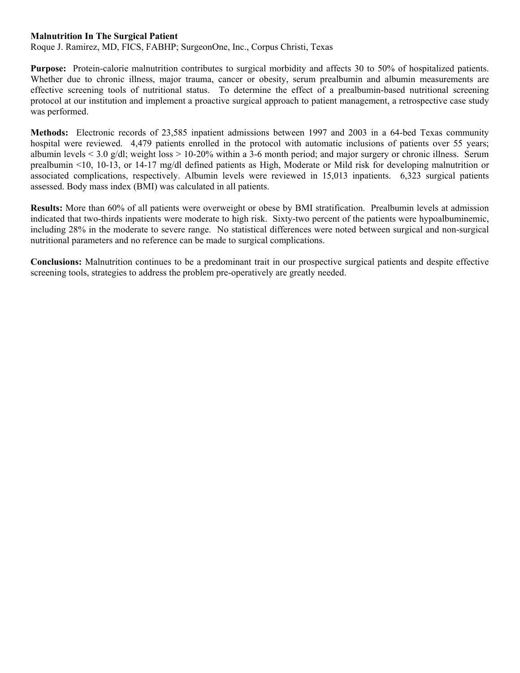#### **Malnutrition In The Surgical Patient**

Roque J. Ramirez, MD, FICS, FABHP; SurgeonOne, Inc., Corpus Christi, Texas

**Purpose:** Protein-calorie malnutrition contributes to surgical morbidity and affects 30 to 50% of hospitalized patients. Whether due to chronic illness, major trauma, cancer or obesity, serum prealbumin and albumin measurements are effective screening tools of nutritional status. To determine the effect of a prealbumin-based nutritional screening protocol at our institution and implement a proactive surgical approach to patient management, a retrospective case study was performed.

**Methods:** Electronic records of 23,585 inpatient admissions between 1997 and 2003 in a 64-bed Texas community hospital were reviewed. 4,479 patients enrolled in the protocol with automatic inclusions of patients over 55 years; albumin levels  $\le$  3.0 g/dl; weight loss  $> 10-20\%$  within a 3-6 month period; and major surgery or chronic illness. Serum prealbumin <10, 10-13, or 14-17 mg/dl defined patients as High, Moderate or Mild risk for developing malnutrition or associated complications, respectively. Albumin levels were reviewed in 15,013 inpatients. 6,323 surgical patients assessed. Body mass index (BMI) was calculated in all patients.

**Results:** More than 60% of all patients were overweight or obese by BMI stratification. Prealbumin levels at admission indicated that two-thirds inpatients were moderate to high risk. Sixty-two percent of the patients were hypoalbuminemic, including 28% in the moderate to severe range. No statistical differences were noted between surgical and non-surgical nutritional parameters and no reference can be made to surgical complications.

**Conclusions:** Malnutrition continues to be a predominant trait in our prospective surgical patients and despite effective screening tools, strategies to address the problem pre-operatively are greatly needed.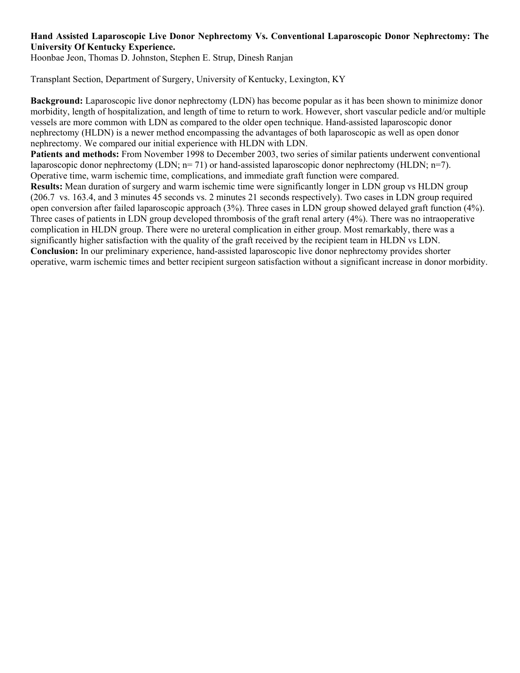## **Hand Assisted Laparoscopic Live Donor Nephrectomy Vs. Conventional Laparoscopic Donor Nephrectomy: The University Of Kentucky Experience.**

Hoonbae Jeon, Thomas D. Johnston, Stephen E. Strup, Dinesh Ranjan

Transplant Section, Department of Surgery, University of Kentucky, Lexington, KY

**Background:** Laparoscopic live donor nephrectomy (LDN) has become popular as it has been shown to minimize donor morbidity, length of hospitalization, and length of time to return to work. However, short vascular pedicle and/or multiple vessels are more common with LDN as compared to the older open technique. Hand-assisted laparoscopic donor nephrectomy (HLDN) is a newer method encompassing the advantages of both laparoscopic as well as open donor nephrectomy. We compared our initial experience with HLDN with LDN.

**Patients and methods:** From November 1998 to December 2003, two series of similar patients underwent conventional laparoscopic donor nephrectomy (LDN; n= 71) or hand-assisted laparoscopic donor nephrectomy (HLDN; n=7). Operative time, warm ischemic time, complications, and immediate graft function were compared.

**Results:** Mean duration of surgery and warm ischemic time were significantly longer in LDN group vs HLDN group (206.7 vs. 163.4, and 3 minutes 45 seconds vs. 2 minutes 21 seconds respectively). Two cases in LDN group required open conversion after failed laparoscopic approach (3%). Three cases in LDN group showed delayed graft function (4%). Three cases of patients in LDN group developed thrombosis of the graft renal artery (4%). There was no intraoperative complication in HLDN group. There were no ureteral complication in either group. Most remarkably, there was a significantly higher satisfaction with the quality of the graft received by the recipient team in HLDN vs LDN. **Conclusion:** In our preliminary experience, hand-assisted laparoscopic live donor nephrectomy provides shorter operative, warm ischemic times and better recipient surgeon satisfaction without a significant increase in donor morbidity.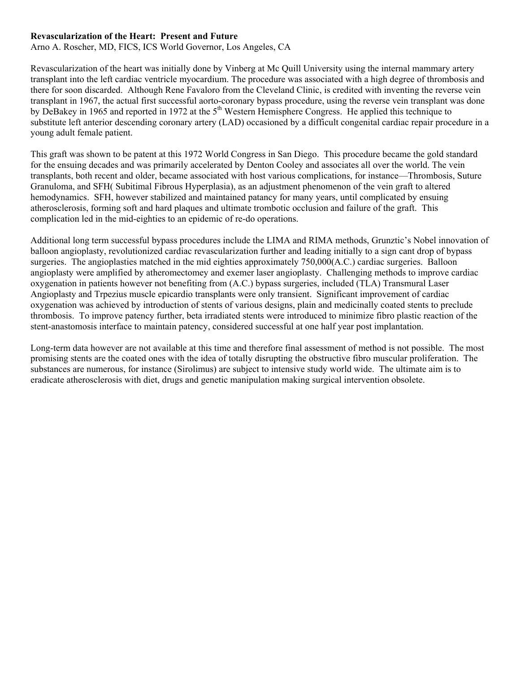#### **Revascularization of the Heart: Present and Future**

Arno A. Roscher, MD, FICS, ICS World Governor, Los Angeles, CA

Revascularization of the heart was initially done by Vinberg at Mc Quill University using the internal mammary artery transplant into the left cardiac ventricle myocardium. The procedure was associated with a high degree of thrombosis and there for soon discarded. Although Rene Favaloro from the Cleveland Clinic, is credited with inventing the reverse vein transplant in 1967, the actual first successful aorto-coronary bypass procedure, using the reverse vein transplant was done by DeBakey in 1965 and reported in 1972 at the 5<sup>th</sup> Western Hemisphere Congress. He applied this technique to substitute left anterior descending coronary artery (LAD) occasioned by a difficult congenital cardiac repair procedure in a young adult female patient.

This graft was shown to be patent at this 1972 World Congress in San Diego. This procedure became the gold standard for the ensuing decades and was primarily accelerated by Denton Cooley and associates all over the world. The vein transplants, both recent and older, became associated with host various complications, for instance—Thrombosis, Suture Granuloma, and SFH( Subitimal Fibrous Hyperplasia), as an adjustment phenomenon of the vein graft to altered hemodynamics. SFH, however stabilized and maintained patancy for many years, until complicated by ensuing atherosclerosis, forming soft and hard plaques and ultimate trombotic occlusion and failure of the graft. This complication led in the mid-eighties to an epidemic of re-do operations.

Additional long term successful bypass procedures include the LIMA and RIMA methods, Grunztic's Nobel innovation of balloon angioplasty, revolutionized cardiac revascularization further and leading initially to a sign cant drop of bypass surgeries. The angioplasties matched in the mid eighties approximately 750,000(A.C.) cardiac surgeries. Balloon angioplasty were amplified by atheromectomey and exemer laser angioplasty. Challenging methods to improve cardiac oxygenation in patients however not benefiting from (A.C.) bypass surgeries, included (TLA) Transmural Laser Angioplasty and Trpezius muscle epicardio transplants were only transient. Significant improvement of cardiac oxygenation was achieved by introduction of stents of various designs, plain and medicinally coated stents to preclude thrombosis. To improve patency further, beta irradiated stents were introduced to minimize fibro plastic reaction of the stent-anastomosis interface to maintain patency, considered successful at one half year post implantation.

Long-term data however are not available at this time and therefore final assessment of method is not possible. The most promising stents are the coated ones with the idea of totally disrupting the obstructive fibro muscular proliferation. The substances are numerous, for instance (Sirolimus) are subject to intensive study world wide. The ultimate aim is to eradicate atherosclerosis with diet, drugs and genetic manipulation making surgical intervention obsolete.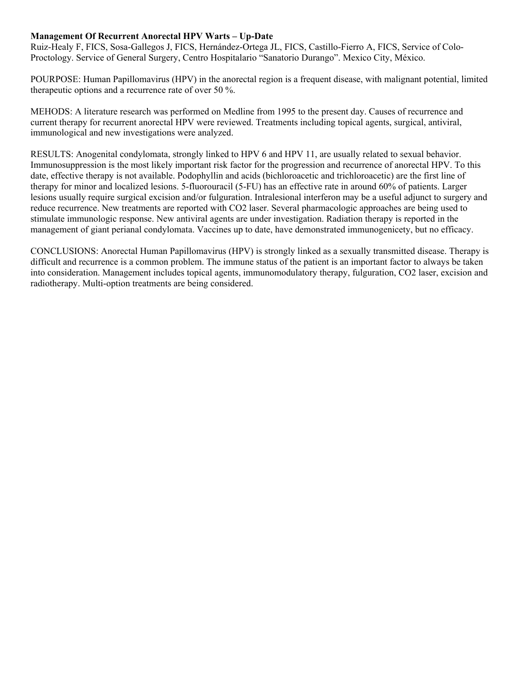## **Management Of Recurrent Anorectal HPV Warts – Up-Date**

Ruiz-Healy F, FICS, Sosa-Gallegos J, FICS, Hernández-Ortega JL, FICS, Castillo-Fierro A, FICS, Service of Colo-Proctology. Service of General Surgery, Centro Hospitalario "Sanatorio Durango". Mexico City, México.

POURPOSE: Human Papillomavirus (HPV) in the anorectal region is a frequent disease, with malignant potential, limited therapeutic options and a recurrence rate of over 50 %.

MEHODS: A literature research was performed on Medline from 1995 to the present day. Causes of recurrence and current therapy for recurrent anorectal HPV were reviewed. Treatments including topical agents, surgical, antiviral, immunological and new investigations were analyzed.

RESULTS: Anogenital condylomata, strongly linked to HPV 6 and HPV 11, are usually related to sexual behavior. Immunosuppression is the most likely important risk factor for the progression and recurrence of anorectal HPV. To this date, effective therapy is not available. Podophyllin and acids (bichloroacetic and trichloroacetic) are the first line of therapy for minor and localized lesions. 5-fluorouracil (5-FU) has an effective rate in around 60% of patients. Larger lesions usually require surgical excision and/or fulguration. Intralesional interferon may be a useful adjunct to surgery and reduce recurrence. New treatments are reported with CO2 laser. Several pharmacologic approaches are being used to stimulate immunologic response. New antiviral agents are under investigation. Radiation therapy is reported in the management of giant perianal condylomata. Vaccines up to date, have demonstrated immunogenicety, but no efficacy.

CONCLUSIONS: Anorectal Human Papillomavirus (HPV) is strongly linked as a sexually transmitted disease. Therapy is difficult and recurrence is a common problem. The immune status of the patient is an important factor to always be taken into consideration. Management includes topical agents, immunomodulatory therapy, fulguration, CO2 laser, excision and radiotherapy. Multi-option treatments are being considered.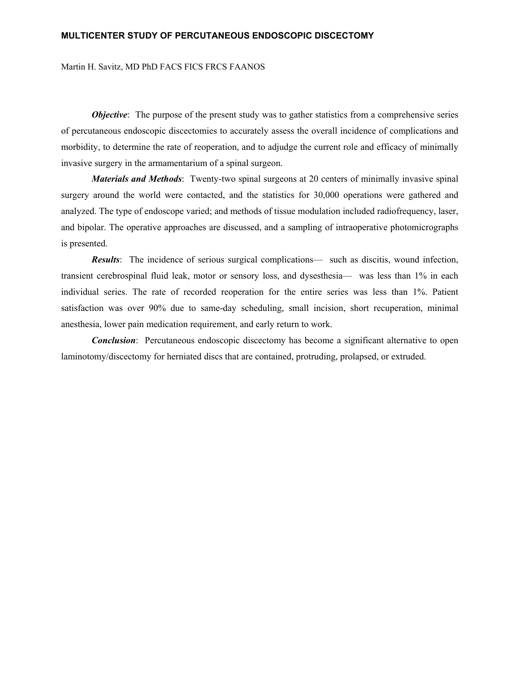#### **MULTICENTER STUDY OF PERCUTANEOUS ENDOSCOPIC DISCECTOMY**

Martin H. Savitz, MD PhD FACS FICS FRCS FAANOS

*Objective*: The purpose of the present study was to gather statistics from a comprehensive series of percutaneous endoscopic discectomies to accurately assess the overall incidence of complications and morbidity, to determine the rate of reoperation, and to adjudge the current role and efficacy of minimally invasive surgery in the armamentarium of a spinal surgeon.

*Materials and Methods*: Twenty-two spinal surgeons at 20 centers of minimally invasive spinal surgery around the world were contacted, and the statistics for 30,000 operations were gathered and analyzed. The type of endoscope varied; and methods of tissue modulation included radiofrequency, laser, and bipolar. The operative approaches are discussed, and a sampling of intraoperative photomicrographs is presented.

*Results*: The incidence of serious surgical complications— such as discitis, wound infection, transient cerebrospinal fluid leak, motor or sensory loss, and dysesthesia— was less than 1% in each individual series. The rate of recorded reoperation for the entire series was less than 1%. Patient satisfaction was over 90% due to same-day scheduling, small incision, short recuperation, minimal anesthesia, lower pain medication requirement, and early return to work.

*Conclusion*: Percutaneous endoscopic discectomy has become a significant alternative to open laminotomy/discectomy for herniated discs that are contained, protruding, prolapsed, or extruded.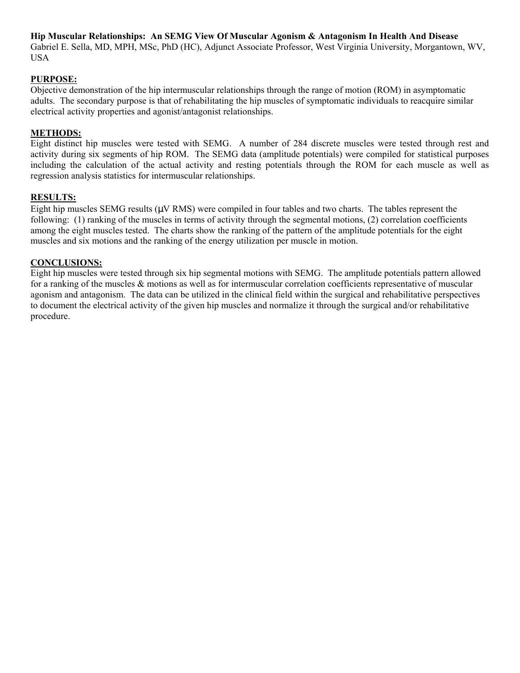**Hip Muscular Relationships: An SEMG View Of Muscular Agonism & Antagonism In Health And Disease**  Gabriel E. Sella, MD, MPH, MSc, PhD (HC), Adjunct Associate Professor, West Virginia University, Morgantown, WV, USA

# **PURPOSE:**

Objective demonstration of the hip intermuscular relationships through the range of motion (ROM) in asymptomatic adults. The secondary purpose is that of rehabilitating the hip muscles of symptomatic individuals to reacquire similar electrical activity properties and agonist/antagonist relationships.

#### **METHODS:**

Eight distinct hip muscles were tested with SEMG. A number of 284 discrete muscles were tested through rest and activity during six segments of hip ROM. The SEMG data (amplitude potentials) were compiled for statistical purposes including the calculation of the actual activity and resting potentials through the ROM for each muscle as well as regression analysis statistics for intermuscular relationships.

#### **RESULTS:**

Eight hip muscles SEMG results (µV RMS) were compiled in four tables and two charts. The tables represent the following: (1) ranking of the muscles in terms of activity through the segmental motions, (2) correlation coefficients among the eight muscles tested. The charts show the ranking of the pattern of the amplitude potentials for the eight muscles and six motions and the ranking of the energy utilization per muscle in motion.

#### **CONCLUSIONS:**

Eight hip muscles were tested through six hip segmental motions with SEMG. The amplitude potentials pattern allowed for a ranking of the muscles & motions as well as for intermuscular correlation coefficients representative of muscular agonism and antagonism. The data can be utilized in the clinical field within the surgical and rehabilitative perspectives to document the electrical activity of the given hip muscles and normalize it through the surgical and/or rehabilitative procedure.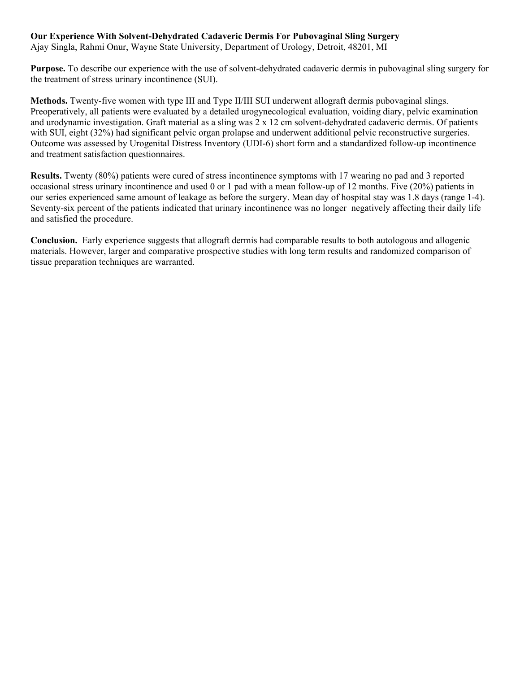# **Our Experience With Solvent-Dehydrated Cadaveric Dermis For Pubovaginal Sling Surgery**

Ajay Singla, Rahmi Onur, Wayne State University, Department of Urology, Detroit, 48201, MI

**Purpose.** To describe our experience with the use of solvent-dehydrated cadaveric dermis in pubovaginal sling surgery for the treatment of stress urinary incontinence (SUI).

**Methods.** Twenty-five women with type III and Type II/III SUI underwent allograft dermis pubovaginal slings. Preoperatively, all patients were evaluated by a detailed urogynecological evaluation, voiding diary, pelvic examination and urodynamic investigation. Graft material as a sling was 2 x 12 cm solvent-dehydrated cadaveric dermis. Of patients with SUI, eight (32%) had significant pelvic organ prolapse and underwent additional pelvic reconstructive surgeries. Outcome was assessed by Urogenital Distress Inventory (UDI-6) short form and a standardized follow-up incontinence and treatment satisfaction questionnaires.

**Results.** Twenty (80%) patients were cured of stress incontinence symptoms with 17 wearing no pad and 3 reported occasional stress urinary incontinence and used 0 or 1 pad with a mean follow-up of 12 months. Five (20%) patients in our series experienced same amount of leakage as before the surgery. Mean day of hospital stay was 1.8 days (range 1-4). Seventy-six percent of the patients indicated that urinary incontinence was no longer negatively affecting their daily life and satisfied the procedure.

**Conclusion.** Early experience suggests that allograft dermis had comparable results to both autologous and allogenic materials. However, larger and comparative prospective studies with long term results and randomized comparison of tissue preparation techniques are warranted.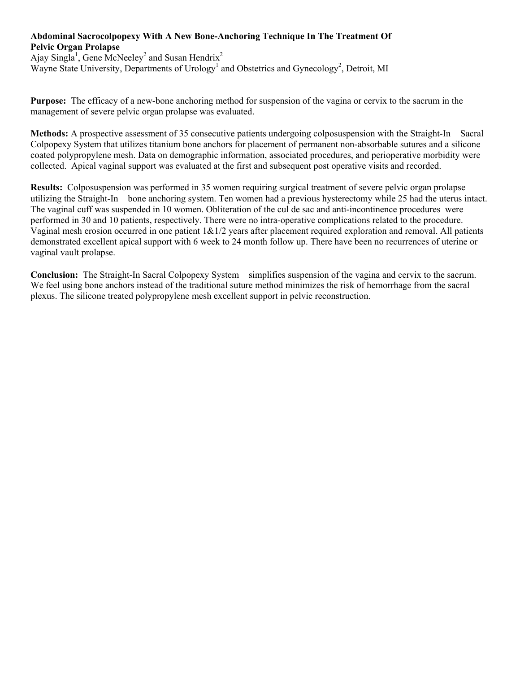# **Abdominal Sacrocolpopexy With A New Bone-Anchoring Technique In The Treatment Of Pelvic Organ Prolapse**

Ajay Singla<sup>1</sup>, Gene McNeeley<sup>2</sup> and Susan Hendrix<sup>2</sup> Wayne State University, Departments of Urology<sup>1</sup> and Obstetrics and Gynecology<sup>2</sup>, Detroit, MI

**Purpose:** The efficacy of a new-bone anchoring method for suspension of the vagina or cervix to the sacrum in the management of severe pelvic organ prolapse was evaluated.

**Methods:** A prospective assessment of 35 consecutive patients undergoing colposuspension with the Straight-In<sup>®</sup> Sacral Colpopexy System that utilizes titanium bone anchors for placement of permanent non-absorbable sutures and a silicone coated polypropylene mesh. Data on demographic information, associated procedures, and perioperative morbidity were collected. Apical vaginal support was evaluated at the first and subsequent post operative visits and recorded.

**Results:** Colposuspension was performed in 35 women requiring surgical treatment of severe pelvic organ prolapse utilizing the Straight-In<sup>®</sup> bone anchoring system. Ten women had a previous hysterectomy while 25 had the uterus intact. The vaginal cuff was suspended in 10 women. Obliteration of the cul de sac and anti-incontinence procedures were performed in 30 and 10 patients, respectively. There were no intra-operative complications related to the procedure. Vaginal mesh erosion occurred in one patient  $1\&1/2$  years after placement required exploration and removal. All patients demonstrated excellent apical support with 6 week to 24 month follow up. There have been no recurrences of uterine or vaginal vault prolapse.

**Conclusion:** The Straight-In Sacral Colpopexy System<sup>®</sup> simplifies suspension of the vagina and cervix to the sacrum. We feel using bone anchors instead of the traditional suture method minimizes the risk of hemorrhage from the sacral plexus. The silicone treated polypropylene mesh excellent support in pelvic reconstruction.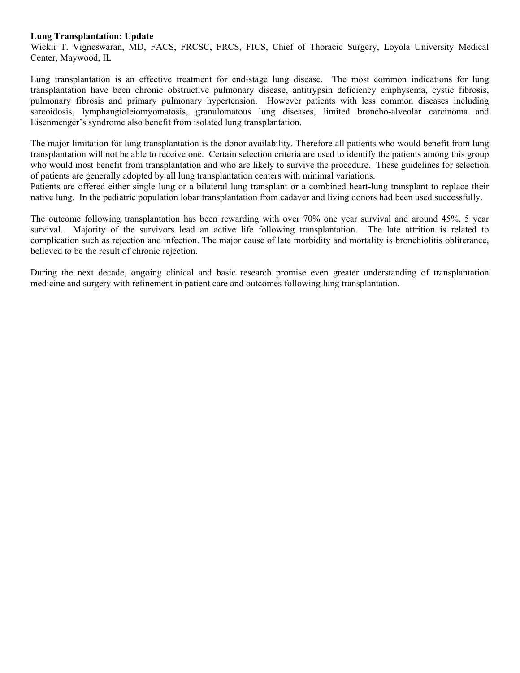#### **Lung Transplantation: Update**

Wickii T. Vigneswaran, MD, FACS, FRCSC, FRCS, FICS, Chief of Thoracic Surgery, Loyola University Medical Center, Maywood, IL

Lung transplantation is an effective treatment for end-stage lung disease. The most common indications for lung transplantation have been chronic obstructive pulmonary disease, antitrypsin deficiency emphysema, cystic fibrosis, pulmonary fibrosis and primary pulmonary hypertension. However patients with less common diseases including sarcoidosis, lymphangioleiomyomatosis, granulomatous lung diseases, limited broncho-alveolar carcinoma and Eisenmenger's syndrome also benefit from isolated lung transplantation.

The major limitation for lung transplantation is the donor availability. Therefore all patients who would benefit from lung transplantation will not be able to receive one. Certain selection criteria are used to identify the patients among this group who would most benefit from transplantation and who are likely to survive the procedure. These guidelines for selection of patients are generally adopted by all lung transplantation centers with minimal variations.

Patients are offered either single lung or a bilateral lung transplant or a combined heart-lung transplant to replace their native lung. In the pediatric population lobar transplantation from cadaver and living donors had been used successfully.

The outcome following transplantation has been rewarding with over 70% one year survival and around 45%, 5 year survival. Majority of the survivors lead an active life following transplantation. The late attrition is related to complication such as rejection and infection. The major cause of late morbidity and mortality is bronchiolitis obliterance, believed to be the result of chronic rejection.

During the next decade, ongoing clinical and basic research promise even greater understanding of transplantation medicine and surgery with refinement in patient care and outcomes following lung transplantation.